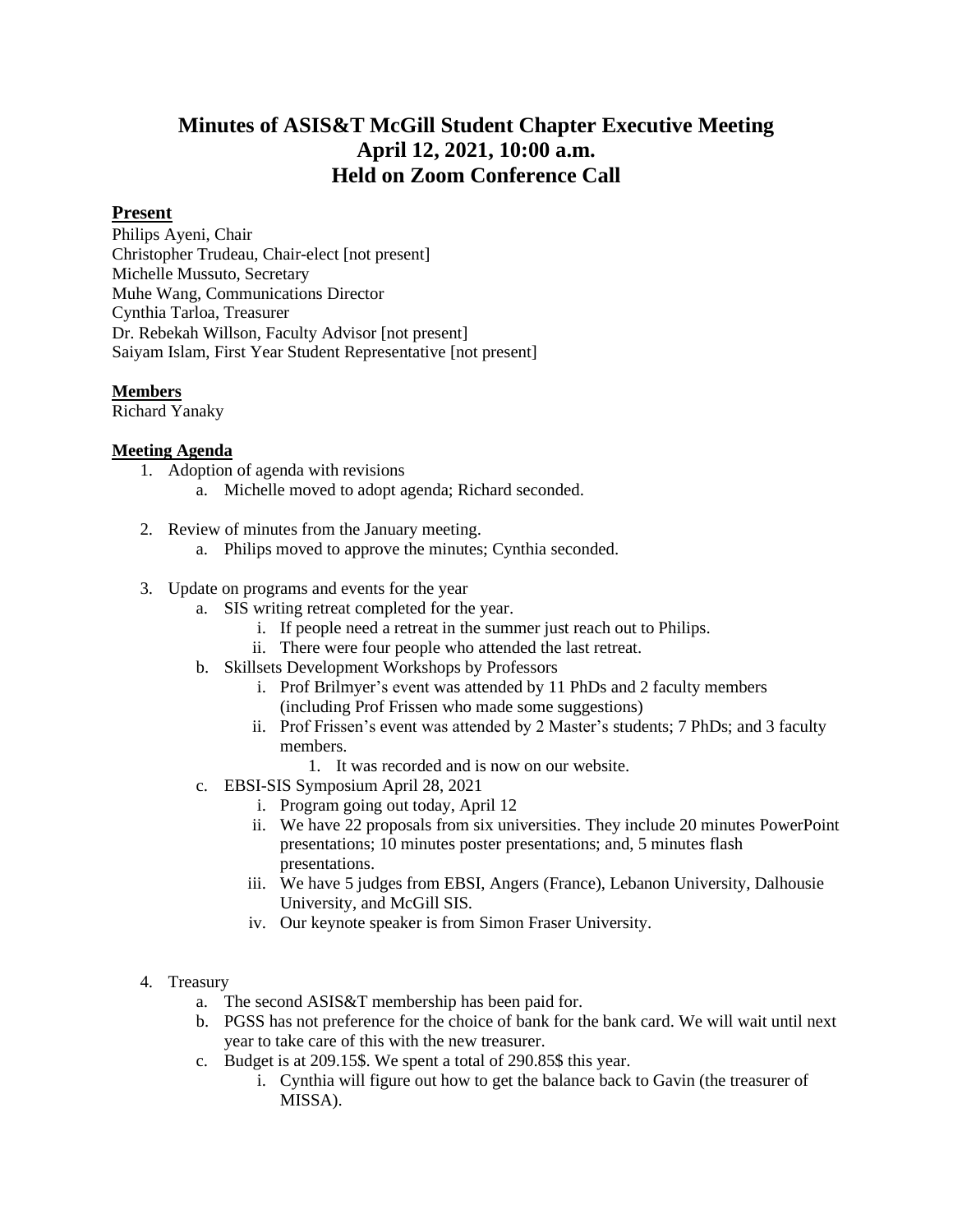# **Minutes of ASIS&T McGill Student Chapter Executive Meeting April 12, 2021, 10:00 a.m. Held on Zoom Conference Call**

## **Present**

Philips Ayeni, Chair Christopher Trudeau, Chair-elect [not present] Michelle Mussuto, Secretary Muhe Wang, Communications Director Cynthia Tarloa, Treasurer Dr. Rebekah Willson, Faculty Advisor [not present] Saiyam Islam, First Year Student Representative [not present]

### **Members**

Richard Yanaky

### **Meeting Agenda**

- 1. Adoption of agenda with revisions
	- a. Michelle moved to adopt agenda; Richard seconded.
- 2. Review of minutes from the January meeting.
	- a. Philips moved to approve the minutes; Cynthia seconded.
- 3. Update on programs and events for the year
	- a. SIS writing retreat completed for the year.
		- i. If people need a retreat in the summer just reach out to Philips.
		- ii. There were four people who attended the last retreat.
	- b. Skillsets Development Workshops by Professors
		- i. Prof Brilmyer's event was attended by 11 PhDs and 2 faculty members (including Prof Frissen who made some suggestions)
		- ii. Prof Frissen's event was attended by 2 Master's students; 7 PhDs; and 3 faculty members.
			- 1. It was recorded and is now on our website.
	- c. EBSI-SIS Symposium April 28, 2021
		- i. Program going out today, April 12
		- ii. We have 22 proposals from six universities. They include 20 minutes PowerPoint presentations; 10 minutes poster presentations; and, 5 minutes flash presentations.
		- iii. We have 5 judges from EBSI, Angers (France), Lebanon University, Dalhousie University, and McGill SIS.
		- iv. Our keynote speaker is from Simon Fraser University.

#### 4. Treasury

- a. The second ASIS&T membership has been paid for.
- b. PGSS has not preference for the choice of bank for the bank card. We will wait until next year to take care of this with the new treasurer.
- c. Budget is at 209.15\$. We spent a total of 290.85\$ this year.
	- i. Cynthia will figure out how to get the balance back to Gavin (the treasurer of MISSA).